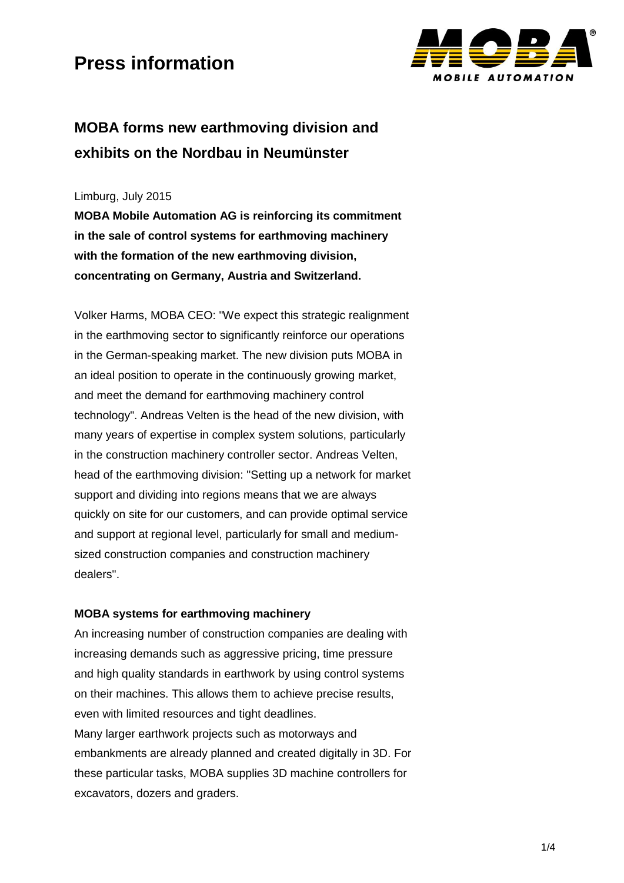

### **MOBA forms new earthmoving division and exhibits on the Nordbau in Neumünster**

Limburg, July 2015

**MOBA Mobile Automation AG is reinforcing its commitment in the sale of control systems for earthmoving machinery with the formation of the new earthmoving division, concentrating on Germany, Austria and Switzerland.**

Volker Harms, MOBA CEO: "We expect this strategic realignment in the earthmoving sector to significantly reinforce our operations in the German-speaking market. The new division puts MOBA in an ideal position to operate in the continuously growing market, and meet the demand for earthmoving machinery control technology". Andreas Velten is the head of the new division, with many years of expertise in complex system solutions, particularly in the construction machinery controller sector. Andreas Velten, head of the earthmoving division: "Setting up a network for market support and dividing into regions means that we are always quickly on site for our customers, and can provide optimal service and support at regional level, particularly for small and mediumsized construction companies and construction machinery dealers".

#### **MOBA systems for earthmoving machinery**

An increasing number of construction companies are dealing with increasing demands such as aggressive pricing, time pressure and high quality standards in earthwork by using control systems on their machines. This allows them to achieve precise results, even with limited resources and tight deadlines. Many larger earthwork projects such as motorways and embankments are already planned and created digitally in 3D. For these particular tasks, MOBA supplies 3D machine controllers for excavators, dozers and graders.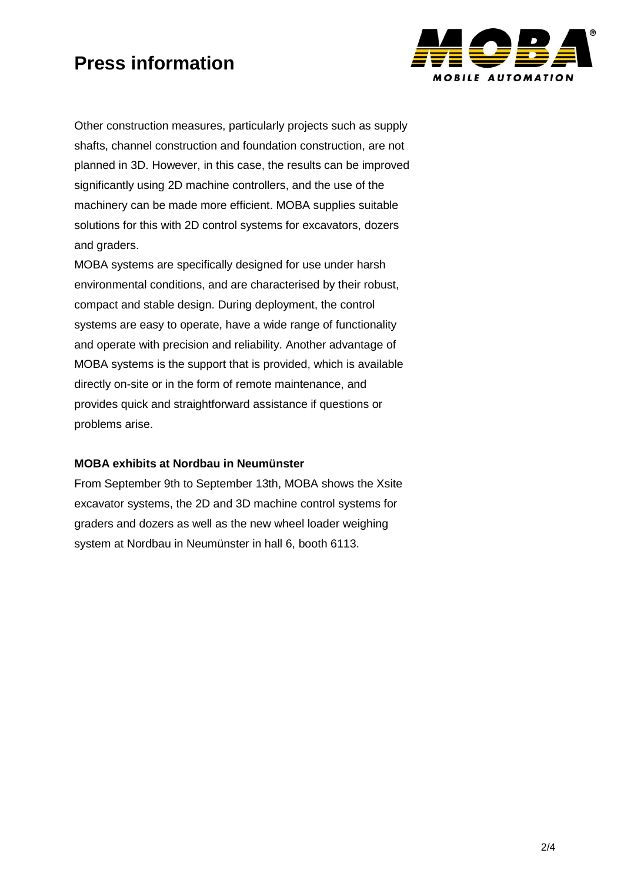

Other construction measures, particularly projects such as supply shafts, channel construction and foundation construction, are not planned in 3D. However, in this case, the results can be improved significantly using 2D machine controllers, and the use of the machinery can be made more efficient. MOBA supplies suitable solutions for this with 2D control systems for excavators, dozers and graders.

MOBA systems are specifically designed for use under harsh environmental conditions, and are characterised by their robust, compact and stable design. During deployment, the control systems are easy to operate, have a wide range of functionality and operate with precision and reliability. Another advantage of MOBA systems is the support that is provided, which is available directly on-site or in the form of remote maintenance, and provides quick and straightforward assistance if questions or problems arise.

### **MOBA exhibits at Nordbau in Neumünster**

From September 9th to September 13th, MOBA shows the Xsite excavator systems, the 2D and 3D machine control systems for graders and dozers as well as the new wheel loader weighing system at Nordbau in Neumünster in hall 6, booth 6113.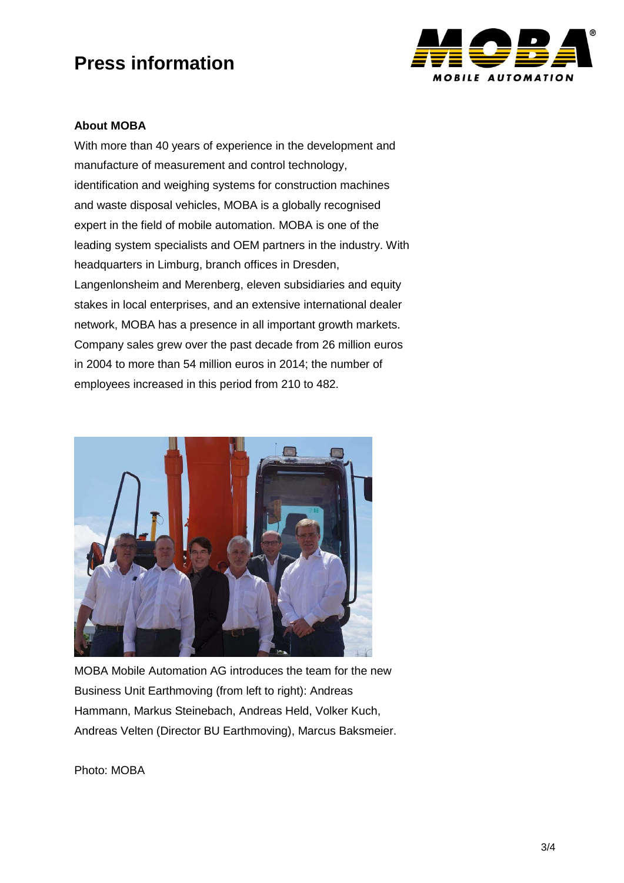

### **About MOBA**

With more than 40 years of experience in the development and manufacture of measurement and control technology, identification and weighing systems for construction machines and waste disposal vehicles, MOBA is a globally recognised expert in the field of mobile automation. MOBA is one of the leading system specialists and OEM partners in the industry. With headquarters in Limburg, branch offices in Dresden, Langenlonsheim and Merenberg, eleven subsidiaries and equity stakes in local enterprises, and an extensive international dealer network, MOBA has a presence in all important growth markets. Company sales grew over the past decade from 26 million euros in 2004 to more than 54 million euros in 2014; the number of employees increased in this period from 210 to 482.



MOBA Mobile Automation AG introduces the team for the new Business Unit Earthmoving (from left to right): Andreas Hammann, Markus Steinebach, Andreas Held, Volker Kuch, Andreas Velten (Director BU Earthmoving), Marcus Baksmeier.

Photo: MOBA